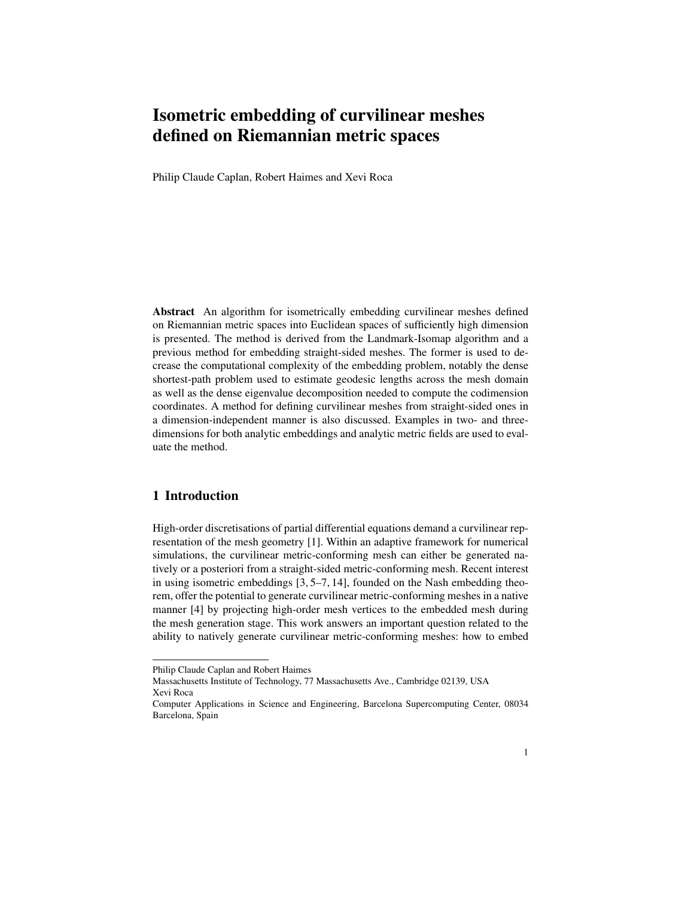# Isometric embedding of curvilinear meshes defined on Riemannian metric spaces

Philip Claude Caplan, Robert Haimes and Xevi Roca

Abstract An algorithm for isometrically embedding curvilinear meshes defined on Riemannian metric spaces into Euclidean spaces of sufficiently high dimension is presented. The method is derived from the Landmark-Isomap algorithm and a previous method for embedding straight-sided meshes. The former is used to decrease the computational complexity of the embedding problem, notably the dense shortest-path problem used to estimate geodesic lengths across the mesh domain as well as the dense eigenvalue decomposition needed to compute the codimension coordinates. A method for defining curvilinear meshes from straight-sided ones in a dimension-independent manner is also discussed. Examples in two- and threedimensions for both analytic embeddings and analytic metric fields are used to evaluate the method.

# 1 Introduction

High-order discretisations of partial differential equations demand a curvilinear representation of the mesh geometry [1]. Within an adaptive framework for numerical simulations, the curvilinear metric-conforming mesh can either be generated natively or a posteriori from a straight-sided metric-conforming mesh. Recent interest in using isometric embeddings [3, 5–7, 14], founded on the Nash embedding theorem, offer the potential to generate curvilinear metric-conforming meshes in a native manner [4] by projecting high-order mesh vertices to the embedded mesh during the mesh generation stage. This work answers an important question related to the ability to natively generate curvilinear metric-conforming meshes: how to embed

Philip Claude Caplan and Robert Haimes

Massachusetts Institute of Technology, 77 Massachusetts Ave., Cambridge 02139, USA Xevi Roca

Computer Applications in Science and Engineering, Barcelona Supercomputing Center, 08034 Barcelona, Spain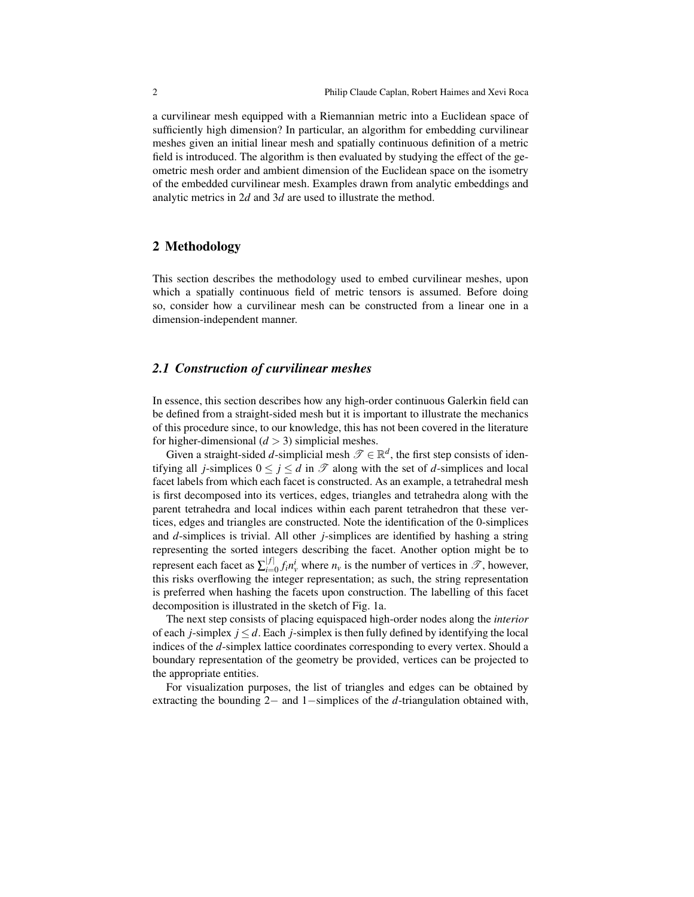a curvilinear mesh equipped with a Riemannian metric into a Euclidean space of sufficiently high dimension? In particular, an algorithm for embedding curvilinear meshes given an initial linear mesh and spatially continuous definition of a metric field is introduced. The algorithm is then evaluated by studying the effect of the geometric mesh order and ambient dimension of the Euclidean space on the isometry of the embedded curvilinear mesh. Examples drawn from analytic embeddings and analytic metrics in 2*d* and 3*d* are used to illustrate the method.

# 2 Methodology

This section describes the methodology used to embed curvilinear meshes, upon which a spatially continuous field of metric tensors is assumed. Before doing so, consider how a curvilinear mesh can be constructed from a linear one in a dimension-independent manner.

# *2.1 Construction of curvilinear meshes*

In essence, this section describes how any high-order continuous Galerkin field can be defined from a straight-sided mesh but it is important to illustrate the mechanics of this procedure since, to our knowledge, this has not been covered in the literature for higher-dimensional  $(d > 3)$  simplicial meshes.

Given a straight-sided *d*-simplicial mesh  $\mathscr{T} \in \mathbb{R}^d$ , the first step consists of identifying all *j*-simplices  $0 \le j \le d$  in  $\mathscr T$  along with the set of *d*-simplices and local facet labels from which each facet is constructed. As an example, a tetrahedral mesh is first decomposed into its vertices, edges, triangles and tetrahedra along with the parent tetrahedra and local indices within each parent tetrahedron that these vertices, edges and triangles are constructed. Note the identification of the 0-simplices and *d*-simplices is trivial. All other *j*-simplices are identified by hashing a string representing the sorted integers describing the facet. Another option might be to represent each facet as  $\sum_{i=1}^{|f|}$  $\int_{i=0}^{|f|} f_i n_v^i$  where  $n_v$  is the number of vertices in  $\mathscr{T}$ , however, this risks overflowing the integer representation; as such, the string representation is preferred when hashing the facets upon construction. The labelling of this facet decomposition is illustrated in the sketch of Fig. 1a.

The next step consists of placing equispaced high-order nodes along the *interior* of each *j*-simplex  $j \leq d$ . Each *j*-simplex is then fully defined by identifying the local indices of the *d*-simplex lattice coordinates corresponding to every vertex. Should a boundary representation of the geometry be provided, vertices can be projected to the appropriate entities.

For visualization purposes, the list of triangles and edges can be obtained by extracting the bounding 2− and 1−simplices of the *d*-triangulation obtained with,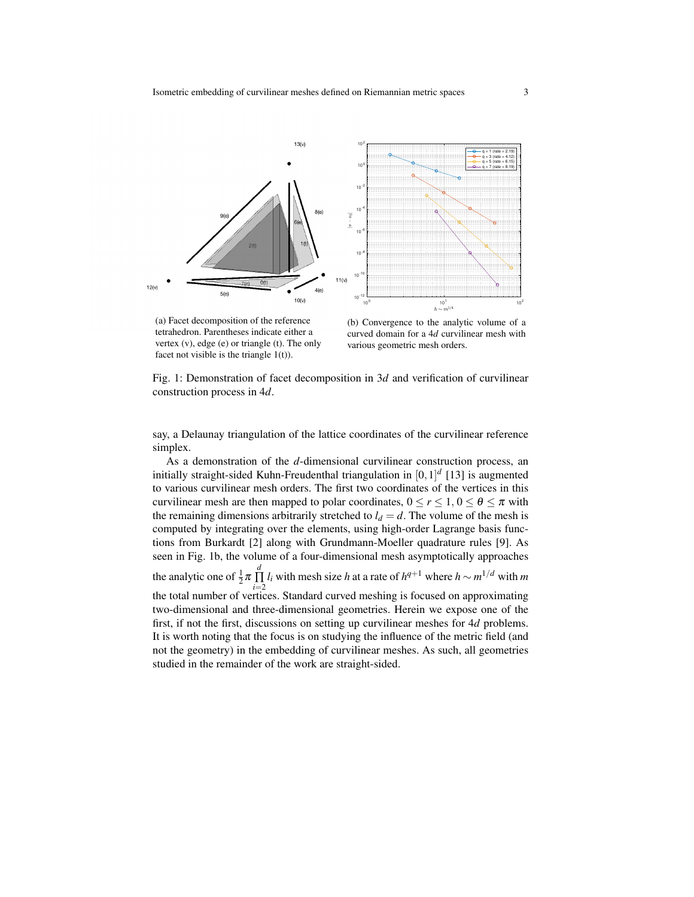

(a) Facet decomposition of the reference tetrahedron. Parentheses indicate either a vertex (v), edge (e) or triangle (t). The only facet not visible is the triangle  $1(t)$ ).

(b) Convergence to the analytic volume of a curved domain for a 4*d* curvilinear mesh with various geometric mesh orders.

Fig. 1: Demonstration of facet decomposition in 3*d* and verification of curvilinear construction process in 4*d*.

say, a Delaunay triangulation of the lattice coordinates of the curvilinear reference simplex.

As a demonstration of the *d*-dimensional curvilinear construction process, an initially straight-sided Kuhn-Freudenthal triangulation in [0,1] *d* [13] is augmented to various curvilinear mesh orders. The first two coordinates of the vertices in this curvilinear mesh are then mapped to polar coordinates,  $0 \le r \le 1$ ,  $0 \le \theta \le \pi$  with the remaining dimensions arbitrarily stretched to  $l_d = d$ . The volume of the mesh is computed by integrating over the elements, using high-order Lagrange basis functions from Burkardt [2] along with Grundmann-Moeller quadrature rules [9]. As seen in Fig. 1b, the volume of a four-dimensional mesh asymptotically approaches the analytic one of  $\frac{1}{2}\pi \prod_{r=1}^{d}$  $\prod_{i=2}^{n}$ *l*<sub>*i*</sub> with mesh size *h* at a rate of *h*<sup>*q*+1</sup> where *h* ∼ *m*<sup>1/*d*</sup> with *m* the total number of vertices. Standard curved meshing is focused on approximating two-dimensional and three-dimensional geometries. Herein we expose one of the first, if not the first, discussions on setting up curvilinear meshes for 4*d* problems. It is worth noting that the focus is on studying the influence of the metric field (and not the geometry) in the embedding of curvilinear meshes. As such, all geometries studied in the remainder of the work are straight-sided.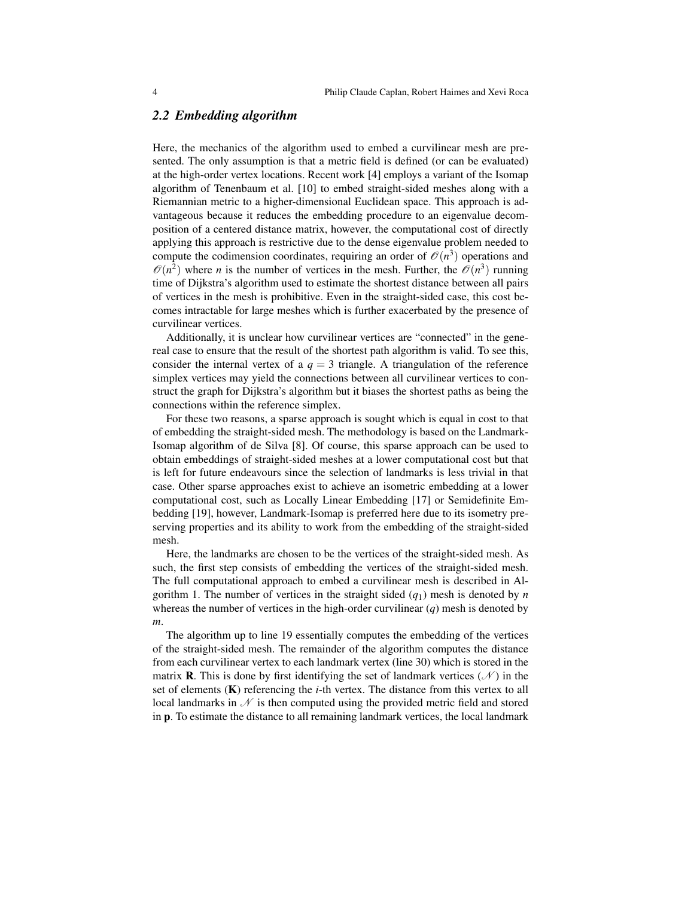#### *2.2 Embedding algorithm*

Here, the mechanics of the algorithm used to embed a curvilinear mesh are presented. The only assumption is that a metric field is defined (or can be evaluated) at the high-order vertex locations. Recent work [4] employs a variant of the Isomap algorithm of Tenenbaum et al. [10] to embed straight-sided meshes along with a Riemannian metric to a higher-dimensional Euclidean space. This approach is advantageous because it reduces the embedding procedure to an eigenvalue decomposition of a centered distance matrix, however, the computational cost of directly applying this approach is restrictive due to the dense eigenvalue problem needed to compute the codimension coordinates, requiring an order of  $\mathcal{O}(n^3)$  operations and  $\mathcal{O}(n^2)$  where *n* is the number of vertices in the mesh. Further, the  $\mathcal{O}(n^3)$  running time of Dijkstra's algorithm used to estimate the shortest distance between all pairs of vertices in the mesh is prohibitive. Even in the straight-sided case, this cost becomes intractable for large meshes which is further exacerbated by the presence of curvilinear vertices.

Additionally, it is unclear how curvilinear vertices are "connected" in the genereal case to ensure that the result of the shortest path algorithm is valid. To see this, consider the internal vertex of a  $q = 3$  triangle. A triangulation of the reference simplex vertices may yield the connections between all curvilinear vertices to construct the graph for Dijkstra's algorithm but it biases the shortest paths as being the connections within the reference simplex.

For these two reasons, a sparse approach is sought which is equal in cost to that of embedding the straight-sided mesh. The methodology is based on the Landmark-Isomap algorithm of de Silva [8]. Of course, this sparse approach can be used to obtain embeddings of straight-sided meshes at a lower computational cost but that is left for future endeavours since the selection of landmarks is less trivial in that case. Other sparse approaches exist to achieve an isometric embedding at a lower computational cost, such as Locally Linear Embedding [17] or Semidefinite Embedding [19], however, Landmark-Isomap is preferred here due to its isometry preserving properties and its ability to work from the embedding of the straight-sided mesh.

Here, the landmarks are chosen to be the vertices of the straight-sided mesh. As such, the first step consists of embedding the vertices of the straight-sided mesh. The full computational approach to embed a curvilinear mesh is described in Algorithm 1. The number of vertices in the straight sided  $(q_1)$  mesh is denoted by *n* whereas the number of vertices in the high-order curvilinear (*q*) mesh is denoted by *m*.

The algorithm up to line 19 essentially computes the embedding of the vertices of the straight-sided mesh. The remainder of the algorithm computes the distance from each curvilinear vertex to each landmark vertex (line 30) which is stored in the matrix **R**. This is done by first identifying the set of landmark vertices  $(\mathcal{N})$  in the set of elements (K) referencing the *i*-th vertex. The distance from this vertex to all local landmarks in  $\mathcal N$  is then computed using the provided metric field and stored in p. To estimate the distance to all remaining landmark vertices, the local landmark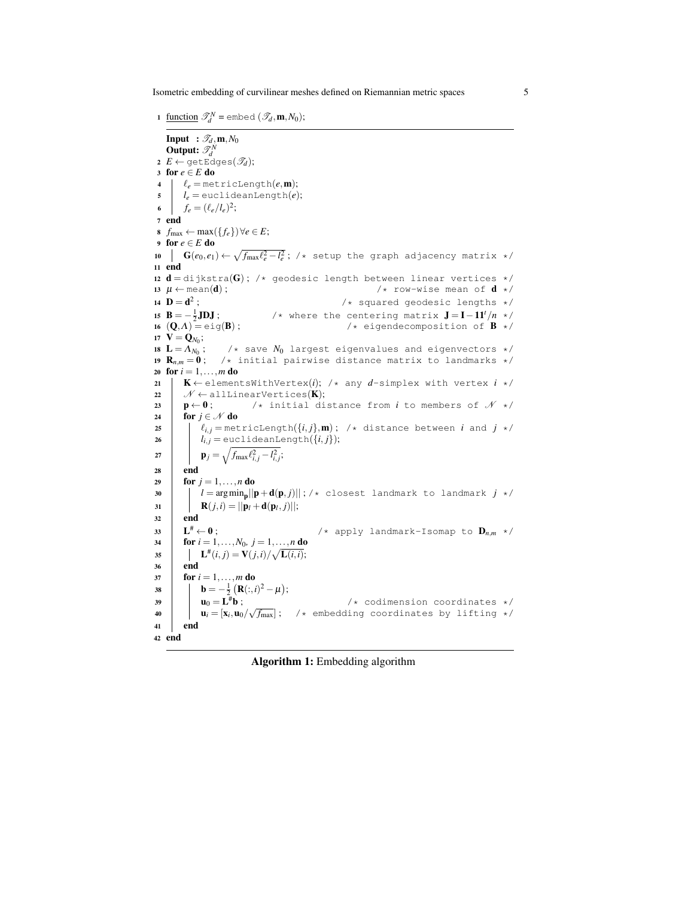Isometric embedding of curvilinear meshes defined on Riemannian metric spaces 5

1 <u>function</u>  $\mathscr{T}_d^N$  = embed  $(\mathscr{T}_d, \mathbf{m}, N_0)$ ; **Input** :  $\mathscr{T}_d$ , **m**,  $N_0$ Output:  $\mathscr{T}^N_d$  $2 E \leftarrow \text{getEdges}(\mathscr{T}_d);$ <sup>3</sup> for *e* ∈ *E* do 4  $\ell_e$  = metricLength $(e, \mathbf{m});$  $l_e$  = euclideanLength(*e*); 6  $f_e = (\ell_e/l_e)^2;$ <sup>7</sup> end 8  $f_{\text{max}} \leftarrow \max(\lbrace f_e \rbrace) \forall e \in E;$ <sup>9</sup> for *e* ∈ *E* do  $\mathbf{G}(e_0,e_1) \leftarrow \sqrt{f_{\text{max}}\ell_e^2 - l_e^2}$ ; /\* setup the graph adjacency matrix \*/ <sup>11</sup> end 12  $d = \text{di} \frac{1}{2}k \text{str}(G)$ ; /\* geodesic length between linear vertices \*/<br>13  $\mu \leftarrow \text{mean}(d)$ ; /\* row-wise mean of  $d \neq$ /\* row-wise mean of  $d$  \*/ 14  ${\bf D} = {\bf d}^2$ /\* squared geodesic lengths  $*/$ 15 **B** =  $-\frac{1}{2}$ JDJ ; /\* where the centering matrix J = I−11*t*/*n* \*/ /\* eigendecomposition of  $\mathbf{B}$  \*/ 17  $V = Q_{N_0}$ ; 18  ${\bf L} = \Lambda_{N_0}$ ;  $/*$  save  $N_0$  largest eigenvalues and eigenvectors  $*/$ 19  $\mathbf{R}_{n,m} = \mathbf{0}$ ; /\* initial pairwise distance matrix to landmarks \*/ 20 for  $i = 1, ..., m$  do 21 |  $K \leftarrow$  elementsWithVertex(*i*); /\* any *d*-simplex with vertex *i* \*/ 22  $\mathcal{N} \leftarrow \text{allLinearVertices}(\mathbf{K});$  $23 \mid p \leftarrow 0;$  /\* initial distance from *i* to members of  $\mathcal{N}$  \*/ <sup>24</sup> for *j* ∈ N do  $\ell_{i,j}$  = metricLength({*i*, *j*}, **m**); /\* distance between *i* and *j* \*/ 26  $\vert$   $\vert$   $l_{i,j}$  = euclideanLength({*i*, *j*});  $\mathbf{p}_j = \sqrt{f_{\text{max}} \ell_{i,j}^2 - l_{i,j}^2};$  $28$  end 29 **for**  $j = 1, ..., n$  do  $30$   $\vert$   $\vert$   $l = \arg\min_{\mathbf{p}} \vert \vert \mathbf{p} + \mathbf{d}(\mathbf{p},j) \vert \vert$ ;/\* closest landmark to landmark  $j$  \*/  $\mathbf{R}(j,i) = ||\mathbf{p}_l + \mathbf{d}(\mathbf{p}_l, j)||;$ <sup>32</sup> end  $33$   $\vert$   $\mathbf{L}^{\#} \leftarrow \mathbf{0}$ ; # ← 0 ; /\* apply landmark-Isomap to D*n*,*<sup>m</sup>* \*/ 34 **for**  $i = 1, ..., N_0, j = 1, ..., n$  do  $\mathbf{L}^{#}(i, j) = \mathbf{V}(j, i) / \sqrt{\mathbf{L}(i, i)};$ <sup>36</sup> end  $37 \quad | \quad \text{for } i = 1, \ldots, m \text{ do}$ 38 **b** =  $-\frac{1}{2}$  (**R**(:,*i*)<sup>2</sup> -  $\mu$ ); 39  $u_0 = L^{\#}b$ ; /\* codimension coordinates  $*/$  $\begin{cases} \mathbf{u}_0 = \mathbf{L} \mathbf{u} \,, & \text{if } \mathbf{v}_i \leq \mathbf{u}_i \,, \\ \mathbf{u}_i = [\mathbf{x}_i, \mathbf{u}_0 / \sqrt{f_{\text{max}}}]; & \text{if } \mathbf{v}_i \text{ is the probability of } \mathbf{u}_i \text{ and } \mathbf{v} \text{ is the probability of } \mathbf{v}_i \text{ and } \mathbf{v}_i \text{ is the probability of } \mathbf{v}_i \text{ and } \mathbf{v}_i \text{ is the probability of } \mathbf{v}_i \text{ and } \mathbf{v}_i \text{ is the probability of } \mathbf{v$ <sup>41</sup> end <sup>42</sup> end

Algorithm 1: Embedding algorithm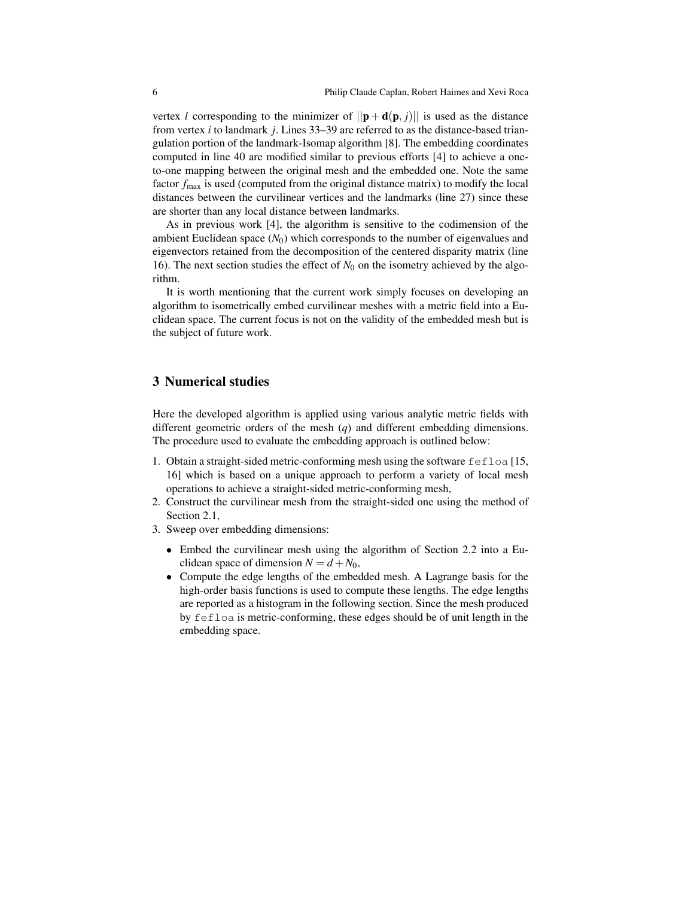vertex *l* corresponding to the minimizer of  $||\mathbf{p} + \mathbf{d}(\mathbf{p}, j)||$  is used as the distance from vertex *i* to landmark *j*. Lines 33–39 are referred to as the distance-based triangulation portion of the landmark-Isomap algorithm [8]. The embedding coordinates computed in line 40 are modified similar to previous efforts [4] to achieve a oneto-one mapping between the original mesh and the embedded one. Note the same factor  $f_{\text{max}}$  is used (computed from the original distance matrix) to modify the local distances between the curvilinear vertices and the landmarks (line 27) since these are shorter than any local distance between landmarks.

As in previous work [4], the algorithm is sensitive to the codimension of the ambient Euclidean space  $(N_0)$  which corresponds to the number of eigenvalues and eigenvectors retained from the decomposition of the centered disparity matrix (line 16). The next section studies the effect of  $N_0$  on the isometry achieved by the algorithm.

It is worth mentioning that the current work simply focuses on developing an algorithm to isometrically embed curvilinear meshes with a metric field into a Euclidean space. The current focus is not on the validity of the embedded mesh but is the subject of future work.

# 3 Numerical studies

Here the developed algorithm is applied using various analytic metric fields with different geometric orders of the mesh (*q*) and different embedding dimensions. The procedure used to evaluate the embedding approach is outlined below:

- 1. Obtain a straight-sided metric-conforming mesh using the software fefloa [15, 16] which is based on a unique approach to perform a variety of local mesh operations to achieve a straight-sided metric-conforming mesh,
- 2. Construct the curvilinear mesh from the straight-sided one using the method of Section 2.1,
- 3. Sweep over embedding dimensions:
	- Embed the curvilinear mesh using the algorithm of Section 2.2 into a Euclidean space of dimension  $N = d + N_0$ ,
	- Compute the edge lengths of the embedded mesh. A Lagrange basis for the high-order basis functions is used to compute these lengths. The edge lengths are reported as a histogram in the following section. Since the mesh produced by fefloa is metric-conforming, these edges should be of unit length in the embedding space.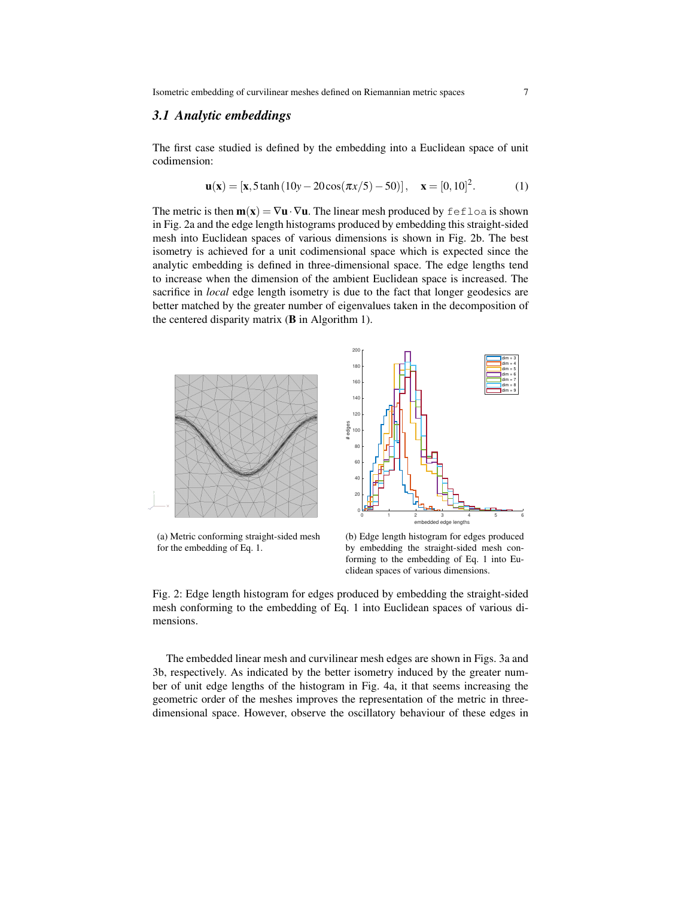### *3.1 Analytic embeddings*

The first case studied is defined by the embedding into a Euclidean space of unit codimension:

$$
\mathbf{u}(\mathbf{x}) = [\mathbf{x}, 5 \tanh(10y - 20\cos(\pi x/5) - 50)], \quad \mathbf{x} = [0, 10]^2.
$$
 (1)

The metric is then  $m(x) = \nabla u \cdot \nabla u$ . The linear mesh produced by fefloa is shown in Fig. 2a and the edge length histograms produced by embedding this straight-sided mesh into Euclidean spaces of various dimensions is shown in Fig. 2b. The best isometry is achieved for a unit codimensional space which is expected since the analytic embedding is defined in three-dimensional space. The edge lengths tend to increase when the dimension of the ambient Euclidean space is increased. The sacrifice in *local* edge length isometry is due to the fact that longer geodesics are better matched by the greater number of eigenvalues taken in the decomposition of the centered disparity matrix  $(B \text{ in Algorithm 1}).$ 



(a) Metric conforming straight-sided mesh for the embedding of Eq. 1.

(b) Edge length histogram for edges produced by embedding the straight-sided mesh conforming to the embedding of Eq. 1 into Euclidean spaces of various dimensions.

The embedded linear mesh and curvilinear mesh edges are shown in Figs. 3a and 3b, respectively. As indicated by the better isometry induced by the greater number of unit edge lengths of the histogram in Fig. 4a, it that seems increasing the geometric order of the meshes improves the representation of the metric in threedimensional space. However, observe the oscillatory behaviour of these edges in

Fig. 2: Edge length histogram for edges produced by embedding the straight-sided mesh conforming to the embedding of Eq. 1 into Euclidean spaces of various dimensions.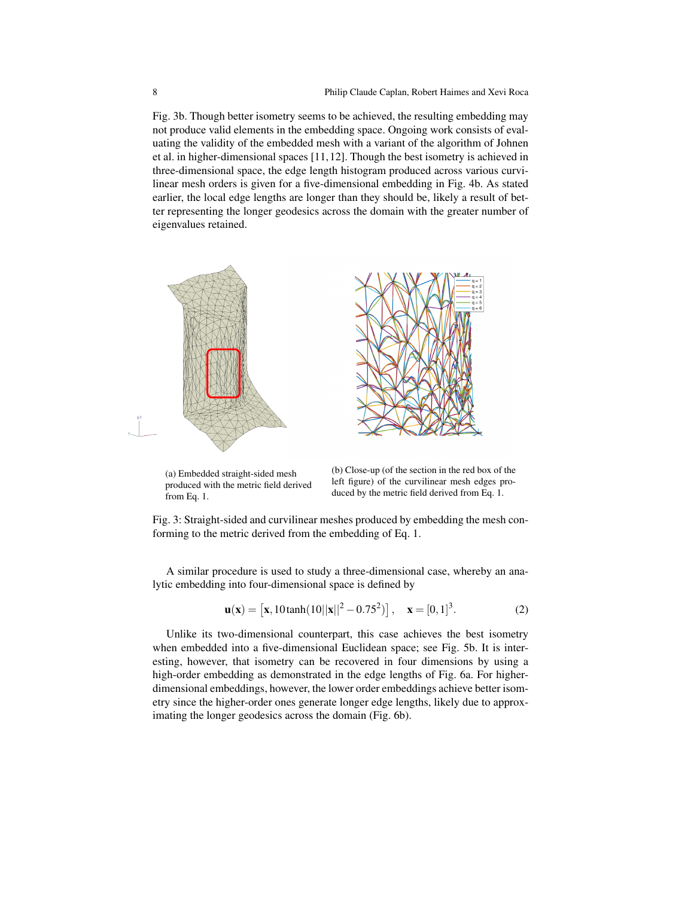Fig. 3b. Though better isometry seems to be achieved, the resulting embedding may not produce valid elements in the embedding space. Ongoing work consists of evaluating the validity of the embedded mesh with a variant of the algorithm of Johnen et al. in higher-dimensional spaces [11, 12]. Though the best isometry is achieved in three-dimensional space, the edge length histogram produced across various curvilinear mesh orders is given for a five-dimensional embedding in Fig. 4b. As stated earlier, the local edge lengths are longer than they should be, likely a result of better representing the longer geodesics across the domain with the greater number of eigenvalues retained.





(a) Embedded straight-sided mesh produced with the metric field derived from Eq. 1.

(b) Close-up (of the section in the red box of the left figure) of the curvilinear mesh edges produced by the metric field derived from Eq. 1.

Fig. 3: Straight-sided and curvilinear meshes produced by embedding the mesh conforming to the metric derived from the embedding of Eq. 1.

A similar procedure is used to study a three-dimensional case, whereby an analytic embedding into four-dimensional space is defined by

$$
\mathbf{u}(\mathbf{x}) = [\mathbf{x}, 10 \tanh(10||\mathbf{x}||^2 - 0.75^2)], \quad \mathbf{x} = [0, 1]^3.
$$
 (2)

Unlike its two-dimensional counterpart, this case achieves the best isometry when embedded into a five-dimensional Euclidean space; see Fig. 5b. It is interesting, however, that isometry can be recovered in four dimensions by using a high-order embedding as demonstrated in the edge lengths of Fig. 6a. For higherdimensional embeddings, however, the lower order embeddings achieve better isometry since the higher-order ones generate longer edge lengths, likely due to approximating the longer geodesics across the domain (Fig. 6b).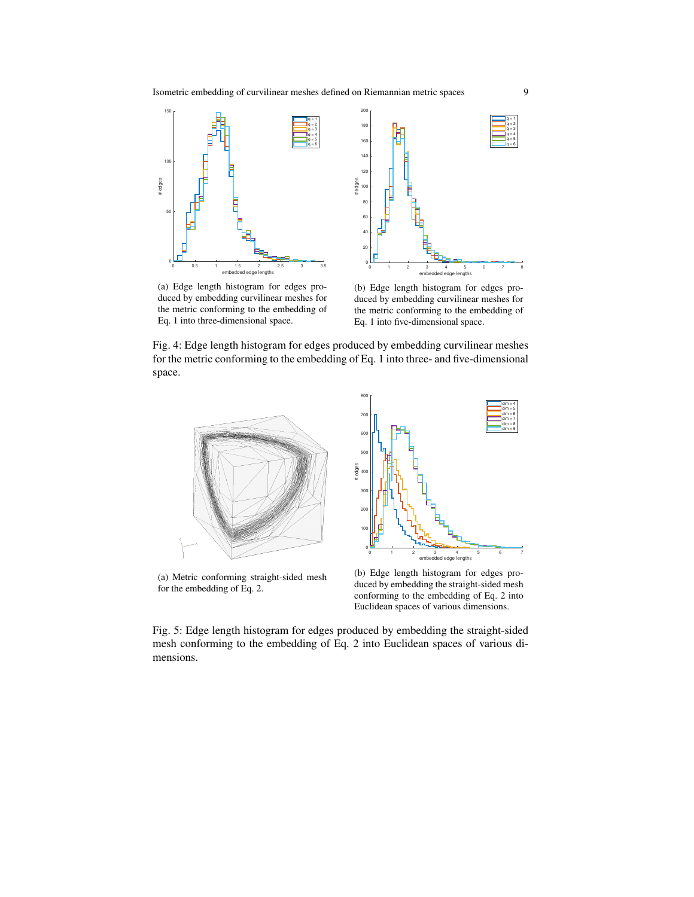

(a) Edge length histogram for edges produced by embedding curvilinear meshes for the metric conforming to the embedding of Eq. 1 into three-dimensional space.

(b) Edge length histogram for edges produced by embedding curvilinear meshes for the metric conforming to the embedding of Eq. 1 into five-dimensional space.

Fig. 4: Edge length histogram for edges produced by embedding curvilinear meshes for the metric conforming to the embedding of Eq. 1 into three- and five-dimensional space.



(a) Metric conforming straight-sided mesh for the embedding of Eq. 2.

(b) Edge length histogram for edges produced by embedding the straight-sided mesh conforming to the embedding of Eq. 2 into Euclidean spaces of various dimensions.

Fig. 5: Edge length histogram for edges produced by embedding the straight-sided mesh conforming to the embedding of Eq. 2 into Euclidean spaces of various dimensions.

q = 1 q = 2 q = 3 q = 4 q = 5 q = 6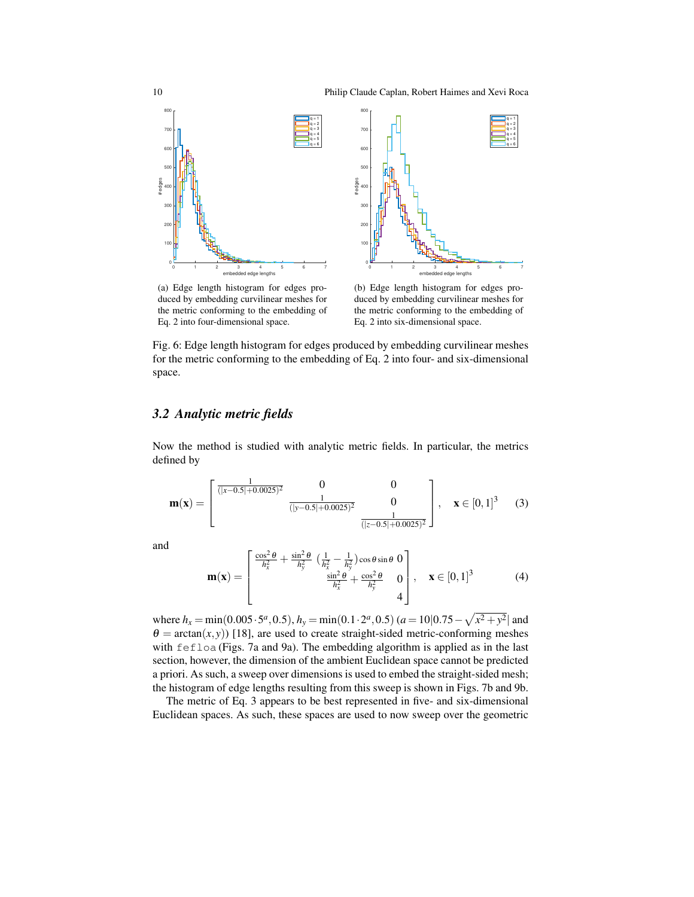10 Philip Claude Caplan, Robert Haimes and Xevi Roca





(a) Edge length histogram for edges produced by embedding curvilinear meshes for the metric conforming to the embedding of Eq. 2 into four-dimensional space.

(b) Edge length histogram for edges produced by embedding curvilinear meshes for the metric conforming to the embedding of Eq. 2 into six-dimensional space.

Fig. 6: Edge length histogram for edges produced by embedding curvilinear meshes for the metric conforming to the embedding of Eq. 2 into four- and six-dimensional space.

# *3.2 Analytic metric fields*

Now the method is studied with analytic metric fields. In particular, the metrics defined by

$$
\mathbf{m}(\mathbf{x}) = \begin{bmatrix} \frac{1}{(|x-0.5|+0.0025)^2} & 0 & 0\\ \frac{1}{(|y-0.5|+0.0025)^2} & 0 &\\ & \frac{1}{(|z-0.5|+0.0025)^2} \end{bmatrix}, \quad \mathbf{x} \in [0,1]^3 \quad (3)
$$

and

$$
\mathbf{m}(\mathbf{x}) = \begin{bmatrix} \frac{\cos^2 \theta}{h_x^2} + \frac{\sin^2 \theta}{h_y^2} & (\frac{1}{h_x^2} - \frac{1}{h_y^2})\cos \theta \sin \theta & 0\\ \frac{\sin^2 \theta}{h_x^2} + \frac{\cos^2 \theta}{h_y^2} & 0\\ 4 & 4 \end{bmatrix}, \quad \mathbf{x} \in [0, 1]^3 \quad (4)
$$

where  $h_x = \min(0.005 \cdot 5^a, 0.5), h_y = \min(0.1 \cdot 2^a, 0.5)$   $(a = 10|0.75 - \sqrt{x^2 + y^2}|$  and  $\theta = \arctan(x, y)$  [18], are used to create straight-sided metric-conforming meshes with fefloa (Figs. 7a and 9a). The embedding algorithm is applied as in the last section, however, the dimension of the ambient Euclidean space cannot be predicted a priori. As such, a sweep over dimensions is used to embed the straight-sided mesh; the histogram of edge lengths resulting from this sweep is shown in Figs. 7b and 9b.

The metric of Eq. 3 appears to be best represented in five- and six-dimensional Euclidean spaces. As such, these spaces are used to now sweep over the geometric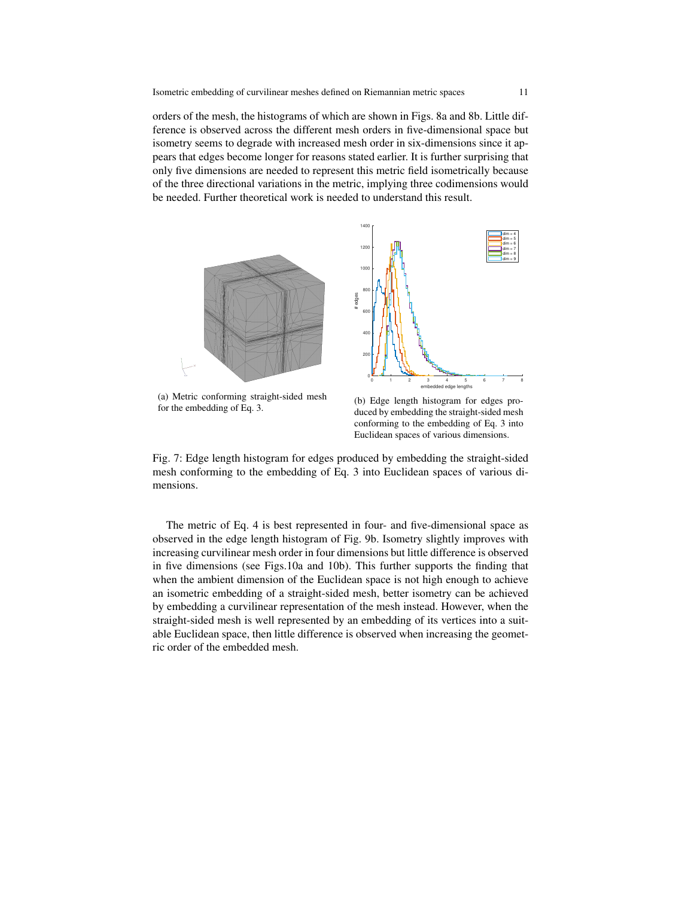orders of the mesh, the histograms of which are shown in Figs. 8a and 8b. Little difference is observed across the different mesh orders in five-dimensional space but isometry seems to degrade with increased mesh order in six-dimensions since it appears that edges become longer for reasons stated earlier. It is further surprising that only five dimensions are needed to represent this metric field isometrically because of the three directional variations in the metric, implying three codimensions would be needed. Further theoretical work is needed to understand this result.



(a) Metric conforming straight-sided mesh for the embedding of Eq. 3.

(b) Edge length histogram for edges produced by embedding the straight-sided mesh conforming to the embedding of Eq. 3 into Euclidean spaces of various dimensions.

Fig. 7: Edge length histogram for edges produced by embedding the straight-sided mesh conforming to the embedding of Eq. 3 into Euclidean spaces of various dimensions.

The metric of Eq. 4 is best represented in four- and five-dimensional space as observed in the edge length histogram of Fig. 9b. Isometry slightly improves with increasing curvilinear mesh order in four dimensions but little difference is observed in five dimensions (see Figs.10a and 10b). This further supports the finding that when the ambient dimension of the Euclidean space is not high enough to achieve an isometric embedding of a straight-sided mesh, better isometry can be achieved by embedding a curvilinear representation of the mesh instead. However, when the straight-sided mesh is well represented by an embedding of its vertices into a suitable Euclidean space, then little difference is observed when increasing the geometric order of the embedded mesh.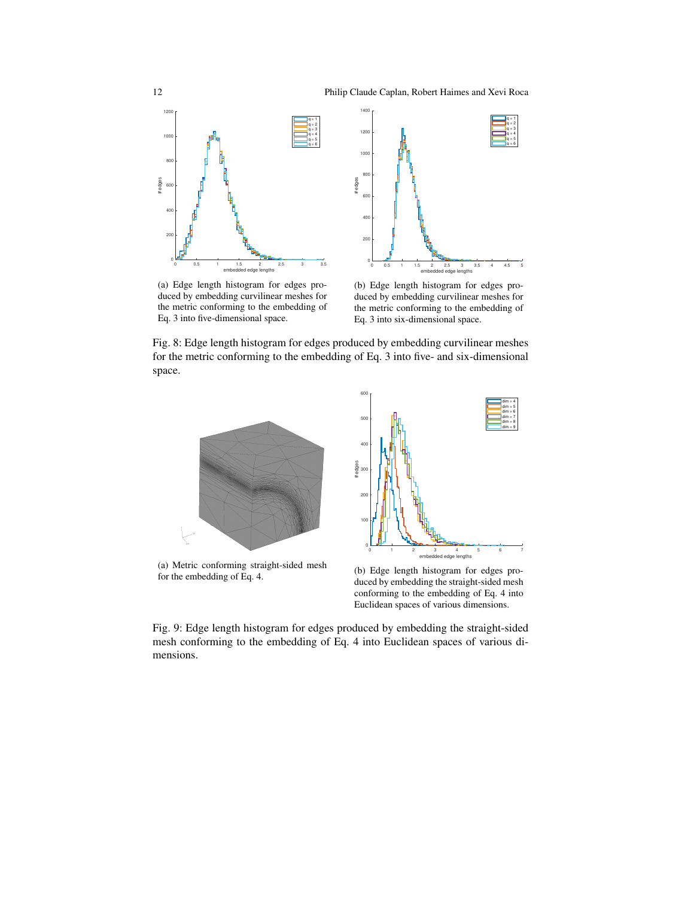12 Philip Claude Caplan, Robert Haimes and Xevi Roca





(a) Edge length histogram for edges produced by embedding curvilinear meshes for the metric conforming to the embedding of Eq. 3 into five-dimensional space.

(b) Edge length histogram for edges produced by embedding curvilinear meshes for the metric conforming to the embedding of Eq. 3 into six-dimensional space.

Fig. 8: Edge length histogram for edges produced by embedding curvilinear meshes for the metric conforming to the embedding of Eq. 3 into five- and six-dimensional space.



for the embedding of Eq. 4.

(b) Edge length histogram for edges produced by embedding the straight-sided mesh conforming to the embedding of Eq. 4 into Euclidean spaces of various dimensions.

Fig. 9: Edge length histogram for edges produced by embedding the straight-sided mesh conforming to the embedding of Eq. 4 into Euclidean spaces of various dimensions.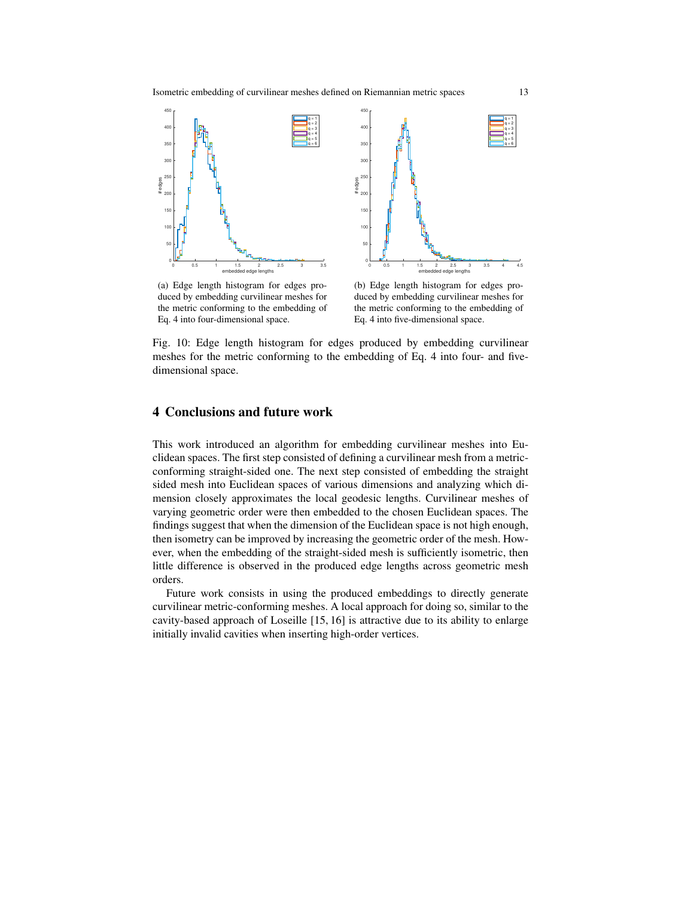Isometric embedding of curvilinear meshes defined on Riemannian metric spaces 13



(a) Edge length histogram for edges produced by embedding curvilinear meshes for the metric conforming to the embedding of Eq. 4 into four-dimensional space.

(b) Edge length histogram for edges produced by embedding curvilinear meshes for the metric conforming to the embedding of Eq. 4 into five-dimensional space.

Fig. 10: Edge length histogram for edges produced by embedding curvilinear meshes for the metric conforming to the embedding of Eq. 4 into four- and fivedimensional space.

# 4 Conclusions and future work

This work introduced an algorithm for embedding curvilinear meshes into Euclidean spaces. The first step consisted of defining a curvilinear mesh from a metricconforming straight-sided one. The next step consisted of embedding the straight sided mesh into Euclidean spaces of various dimensions and analyzing which dimension closely approximates the local geodesic lengths. Curvilinear meshes of varying geometric order were then embedded to the chosen Euclidean spaces. The findings suggest that when the dimension of the Euclidean space is not high enough, then isometry can be improved by increasing the geometric order of the mesh. However, when the embedding of the straight-sided mesh is sufficiently isometric, then little difference is observed in the produced edge lengths across geometric mesh orders.

Future work consists in using the produced embeddings to directly generate curvilinear metric-conforming meshes. A local approach for doing so, similar to the cavity-based approach of Loseille [15, 16] is attractive due to its ability to enlarge initially invalid cavities when inserting high-order vertices.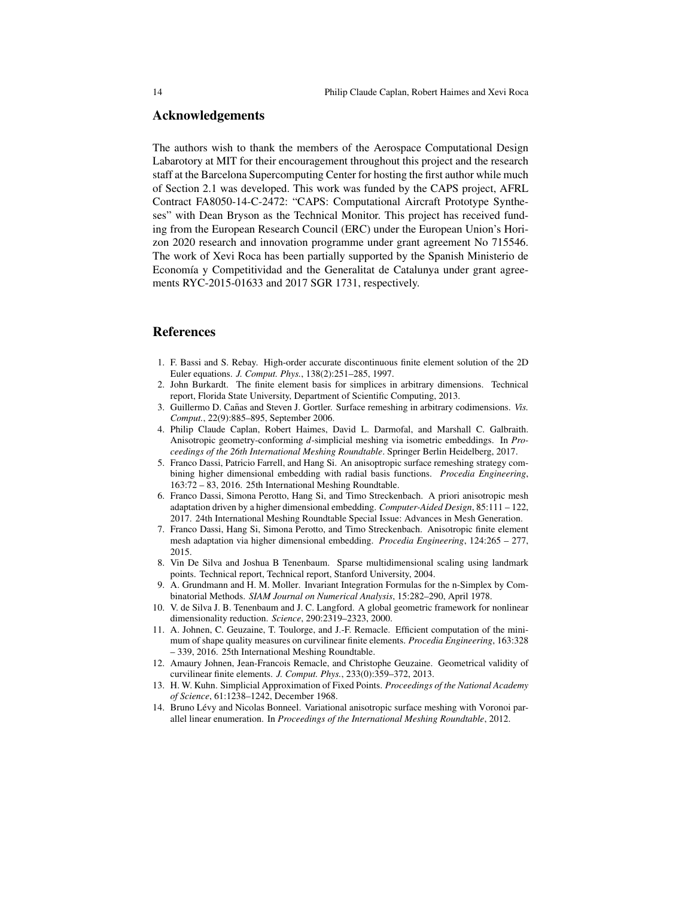#### Acknowledgements

The authors wish to thank the members of the Aerospace Computational Design Labarotory at MIT for their encouragement throughout this project and the research staff at the Barcelona Supercomputing Center for hosting the first author while much of Section 2.1 was developed. This work was funded by the CAPS project, AFRL Contract FA8050-14-C-2472: "CAPS: Computational Aircraft Prototype Syntheses" with Dean Bryson as the Technical Monitor. This project has received funding from the European Research Council (ERC) under the European Union's Horizon 2020 research and innovation programme under grant agreement No 715546. The work of Xevi Roca has been partially supported by the Spanish Ministerio de Economía y Competitividad and the Generalitat de Catalunya under grant agreements RYC-2015-01633 and 2017 SGR 1731, respectively.

### References

- 1. F. Bassi and S. Rebay. High-order accurate discontinuous finite element solution of the 2D Euler equations. *J. Comput. Phys.*, 138(2):251–285, 1997.
- 2. John Burkardt. The finite element basis for simplices in arbitrary dimensions. Technical report, Florida State University, Department of Scientific Computing, 2013.
- 3. Guillermo D. Canas and Steven J. Gortler. Surface remeshing in arbitrary codimensions. ˜ *Vis. Comput.*, 22(9):885–895, September 2006.
- 4. Philip Claude Caplan, Robert Haimes, David L. Darmofal, and Marshall C. Galbraith. Anisotropic geometry-conforming *d*-simplicial meshing via isometric embeddings. In *Proceedings of the 26th International Meshing Roundtable*. Springer Berlin Heidelberg, 2017.
- 5. Franco Dassi, Patricio Farrell, and Hang Si. An anisoptropic surface remeshing strategy combining higher dimensional embedding with radial basis functions. *Procedia Engineering*, 163:72 – 83, 2016. 25th International Meshing Roundtable.
- 6. Franco Dassi, Simona Perotto, Hang Si, and Timo Streckenbach. A priori anisotropic mesh adaptation driven by a higher dimensional embedding. *Computer-Aided Design*, 85:111 – 122, 2017. 24th International Meshing Roundtable Special Issue: Advances in Mesh Generation.
- 7. Franco Dassi, Hang Si, Simona Perotto, and Timo Streckenbach. Anisotropic finite element mesh adaptation via higher dimensional embedding. *Procedia Engineering*, 124:265 – 277, 2015.
- 8. Vin De Silva and Joshua B Tenenbaum. Sparse multidimensional scaling using landmark points. Technical report, Technical report, Stanford University, 2004.
- 9. A. Grundmann and H. M. Moller. Invariant Integration Formulas for the n-Simplex by Combinatorial Methods. *SIAM Journal on Numerical Analysis*, 15:282–290, April 1978.
- 10. V. de Silva J. B. Tenenbaum and J. C. Langford. A global geometric framework for nonlinear dimensionality reduction. *Science*, 290:2319–2323, 2000.
- 11. A. Johnen, C. Geuzaine, T. Toulorge, and J.-F. Remacle. Efficient computation of the minimum of shape quality measures on curvilinear finite elements. *Procedia Engineering*, 163:328 – 339, 2016. 25th International Meshing Roundtable.
- 12. Amaury Johnen, Jean-Francois Remacle, and Christophe Geuzaine. Geometrical validity of curvilinear finite elements. *J. Comput. Phys.*, 233(0):359–372, 2013.
- 13. H. W. Kuhn. Simplicial Approximation of Fixed Points. *Proceedings of the National Academy of Science*, 61:1238–1242, December 1968.
- 14. Bruno Levy and Nicolas Bonneel. Variational anisotropic surface meshing with Voronoi par- ´ allel linear enumeration. In *Proceedings of the International Meshing Roundtable*, 2012.